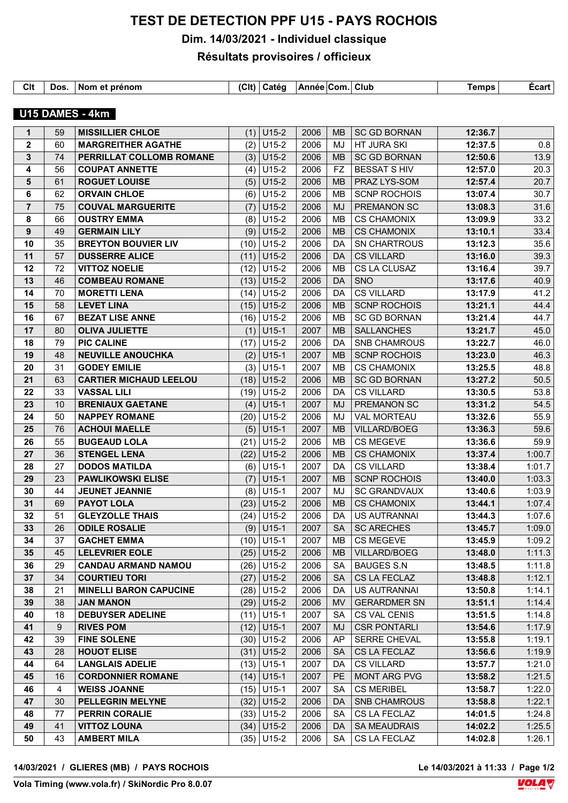## **TEST DE DETECTION PPF U15 - PAYS ROCHOIS**

**Dim. 14/03/2021 - Individuel classique**

## **Résultats provisoires / officieux**

| Clt | Dos | . Nom et prénom | (C <sub>l</sub> ) | Catéo | ⊺Année ∣Com. | Club | <b>Femps</b> | ∠cart |
|-----|-----|-----------------|-------------------|-------|--------------|------|--------------|-------|

## **U15 DAMES - 4km**

| $\mathbf 1$    | 59             | <b>MISSILLIER CHLOE</b>       | (1)  | U <sub>15-2</sub> | 2006 | <b>MB</b> | <b>SC GD BORNAN</b> | 12:36.7 |        |
|----------------|----------------|-------------------------------|------|-------------------|------|-----------|---------------------|---------|--------|
| $\mathbf{2}$   | 60             | <b>MARGREITHER AGATHE</b>     | (2)  | $U15-2$           | 2006 | MJ        | HT JURA SKI         | 12:37.5 | 0.8    |
| 3              | 74             | PERRILLAT COLLOMB ROMANE      | (3)  | U15-2             | 2006 | <b>MB</b> | <b>SC GD BORNAN</b> | 12:50.6 | 13.9   |
| 4              | 56             | <b>COUPAT ANNETTE</b>         | (4)  | $U15-2$           | 2006 | <b>FZ</b> | <b>BESSAT S HIV</b> | 12:57.0 | 20.3   |
| 5              | 61             | <b>ROGUET LOUISE</b>          |      | $(5)$ U15-2       | 2006 | <b>MB</b> | PRAZ LYS-SOM        | 12:57.4 | 20.7   |
| 6              | 62             | <b>ORVAIN CHLOE</b>           | (6)  | $U15-2$           | 2006 | MB        | <b>SCNP ROCHOIS</b> | 13:07.4 | 30.7   |
| $\overline{7}$ | 75             | <b>COUVAL MARGUERITE</b>      | (7)  | $U15-2$           | 2006 | <b>MJ</b> | <b>PREMANON SC</b>  | 13:08.3 | 31.6   |
| 8              | 66             | <b>OUSTRY EMMA</b>            | (8)  | $U15-2$           | 2006 | MB        | <b>CS CHAMONIX</b>  | 13:09.9 | 33.2   |
| 9              | 49             | <b>GERMAIN LILY</b>           | (9)  | $U15-2$           | 2006 | <b>MB</b> | <b>CS CHAMONIX</b>  | 13:10.1 | 33.4   |
| 10             | 35             | <b>BREYTON BOUVIER LIV</b>    |      | $(10)$ U15-2      | 2006 | DA        | SN CHARTROUS        | 13:12.3 | 35.6   |
| 11             | 57             | <b>DUSSERRE ALICE</b>         |      | $(11)$ U15-2      | 2006 | DA        | <b>CS VILLARD</b>   | 13:16.0 | 39.3   |
| 12             | 72             | <b>VITTOZ NOELIE</b>          | (12) | $U15-2$           | 2006 | <b>MB</b> | CS LA CLUSAZ        | 13:16.4 | 39.7   |
| 13             | 46             | <b>COMBEAU ROMANE</b>         | (13) | $U15-2$           | 2006 | DA.       | <b>SNO</b>          | 13:17.6 | 40.9   |
| 14             | 70             | <b>MORETTI LENA</b>           |      | $(14)$ U15-2      | 2006 | DA        | <b>CS VILLARD</b>   | 13:17.9 | 41.2   |
| 15             | 58             | <b>LEVET LINA</b>             | (15) | U15-2             | 2006 | <b>MB</b> | <b>SCNP ROCHOIS</b> | 13:21.1 | 44.4   |
| 16             | 67             | <b>BEZAT LISE ANNE</b>        | (16) | $U15-2$           | 2006 | MB        | <b>SC GD BORNAN</b> | 13:21.4 | 44.7   |
| 17             | 80             | <b>OLIVA JULIETTE</b>         | (1)  | $U15-1$           | 2007 | <b>MB</b> | <b>SALLANCHES</b>   | 13:21.7 | 45.0   |
| 18             | 79             | <b>PIC CALINE</b>             | (17) | $U15-2$           | 2006 | DA        | <b>SNB CHAMROUS</b> | 13:22.7 | 46.0   |
| 19             | 48             | <b>NEUVILLE ANOUCHKA</b>      | (2)  | $U15-1$           | 2007 | <b>MB</b> | <b>SCNP ROCHOIS</b> | 13:23.0 | 46.3   |
| 20             | 31             | <b>GODEY EMILIE</b>           | (3)  | $U15-1$           | 2007 | MВ        | <b>CS CHAMONIX</b>  | 13:25.5 | 48.8   |
| 21             | 63             | <b>CARTIER MICHAUD LEELOU</b> | (18) | U15-2             | 2006 | <b>MB</b> | <b>SC GD BORNAN</b> | 13:27.2 | 50.5   |
| 22             | 33             | <b>VASSAL LILI</b>            | (19) | $U15-2$           | 2006 | DA        | <b>CS VILLARD</b>   | 13:30.5 | 53.8   |
| 23             | 10             | <b>BRENIAUX GAETANE</b>       | (4)  | U15-1             | 2007 | <b>MJ</b> | <b>PREMANON SC</b>  | 13:31.2 | 54.5   |
| 24             | 50             | <b>NAPPEY ROMANE</b>          |      | $(20)$ U15-2      | 2006 | MJ        | <b>VAL MORTEAU</b>  | 13:32.6 | 55.9   |
| 25             | 76             | <b>ACHOUI MAELLE</b>          | (5)  | $U15-1$           | 2007 | <b>MB</b> | <b>VILLARD/BOEG</b> | 13:36.3 | 59.6   |
| 26             | 55             | <b>BUGEAUD LOLA</b>           | (21) | $U15-2$           | 2006 | MВ        | <b>CS MEGEVE</b>    | 13:36.6 | 59.9   |
| 27             | 36             | <b>STENGEL LENA</b>           | (22) | $U15-2$           | 2006 | <b>MB</b> | <b>CS CHAMONIX</b>  | 13:37.4 | 1:00.7 |
| 28             | 27             | <b>DODOS MATILDA</b>          | (6)  | $U15-1$           | 2007 | DA        | <b>CS VILLARD</b>   | 13:38.4 | 1:01.7 |
| 29             | 23             | <b>PAWLIKOWSKI ELISE</b>      | (7)  | $U15-1$           | 2007 | <b>MB</b> | <b>SCNP ROCHOIS</b> | 13:40.0 | 1:03.3 |
| 30             | 44             | <b>JEUNET JEANNIE</b>         | (8)  | $U15-1$           | 2007 | MJ        | <b>SC GRANDVAUX</b> | 13:40.6 | 1:03.9 |
| 31             | 69             | <b>PAYOT LOLA</b>             | (23) | $U15-2$           | 2006 | <b>MB</b> | <b>CS CHAMONIX</b>  | 13:44.1 | 1:07.4 |
| 32             | 51             | <b>GLEYZOLLE THAIS</b>        | (24) | $U15-2$           | 2006 | DA        | <b>US AUTRANNAI</b> | 13:44.3 | 1:07.6 |
| 33             | 26             | <b>ODILE ROSALIE</b>          |      | $(9)$ U15-1       | 2007 | <b>SA</b> | <b>SC ARECHES</b>   | 13:45.7 | 1:09.0 |
| 34             | 37             | <b>GACHET EMMA</b>            |      | $(10)$ U15-1      | 2007 | <b>MB</b> | <b>CS MEGEVE</b>    | 13:45.9 | 1:09.2 |
| 35             | 45             | LELEVRIER EOLE                |      | $(25)$ U15-2      | 2006 |           | MB   VILLARD/BOEG   | 13:48.0 | 1:11.3 |
| 36             | 29             | <b>CANDAU ARMAND NAMOU</b>    |      | $(26)$ U15-2      | 2006 | SA        | BAUGES S.N          | 13:48.5 | 1:11.8 |
| 37             | 34             | <b>COURTIEU TORI</b>          |      | $(27)$ U15-2      | 2006 | <b>SA</b> | CS LA FECLAZ        | 13:48.8 | 1:12.1 |
| 38             | 21             | <b>MINELLI BARON CAPUCINE</b> |      | $(28)$ U15-2      | 2006 | DA        | US AUTRANNAI        | 13:50.8 | 1:14.1 |
| 39             | 38             | <b>JAN MANON</b>              |      | $(29)$ U15-2      | 2006 | <b>MV</b> | <b>GERARDMER SN</b> | 13:51.1 | 1:14.4 |
| 40             | 18             | <b>DEBUYSER ADELINE</b>       |      | $(11)$ U15-1      | 2007 | <b>SA</b> | CS VAL CENIS        | 13:51.5 | 1:14.8 |
| 41             | $9\,$          | <b>RIVES POM</b>              |      | $(12)$ U15-1      | 2007 | MJ        | <b>CSR PONTARLI</b> | 13:54.6 | 1:17.9 |
| 42             | 39             | <b>FINE SOLENE</b>            |      | $(30)$ U15-2      | 2006 | AP        | <b>SERRE CHEVAL</b> | 13:55.8 | 1:19.1 |
| 43             | 28             | <b>HOUOT ELISE</b>            |      | $(31)$ U15-2      | 2006 | <b>SA</b> | CS LA FECLAZ        | 13:56.6 | 1:19.9 |
| 44             | 64             | <b>LANGLAIS ADELIE</b>        |      | $(13)$ U15-1      | 2007 | DA        | <b>CS VILLARD</b>   | 13:57.7 | 1:21.0 |
| 45             | 16             | <b>CORDONNIER ROMANE</b>      |      | $(14)$ U15-1      | 2007 | PE        | MONT ARG PVG        | 13:58.2 | 1:21.5 |
| 46             | $\overline{4}$ | <b>WEISS JOANNE</b>           |      | $(15)$ U15-1      | 2007 | <b>SA</b> | <b>CS MERIBEL</b>   | 13:58.7 | 1:22.0 |
| 47             | 30             | <b>PELLEGRIN MELYNE</b>       |      | $(32)$ U15-2      | 2006 | DA        | <b>SNB CHAMROUS</b> | 13:58.8 | 1:22.1 |
| 48             | 77             | <b>PERRIN CORALIE</b>         |      | $(33)$ U15-2      | 2006 | <b>SA</b> | CS LA FECLAZ        | 14:01.5 | 1:24.8 |
| 49             | 41             | <b>VITTOZ LOUNA</b>           |      | $(34)$ U15-2      | 2006 | DA        | <b>SA MEAUDRAIS</b> | 14:02.2 | 1:25.5 |
| 50             | 43             | <b>AMBERT MILA</b>            |      | $(35)$ U15-2      | 2006 | SA        | CS LA FECLAZ        | 14:02.8 | 1:26.1 |

**14/03/2021 / GLIERES (MB) / PAYS ROCHOIS Le 14/03/2021 à 11:33 / Page 1/2**

Le 14/03/2021 à 11:33 / Page 1/2<br>**VOLA**